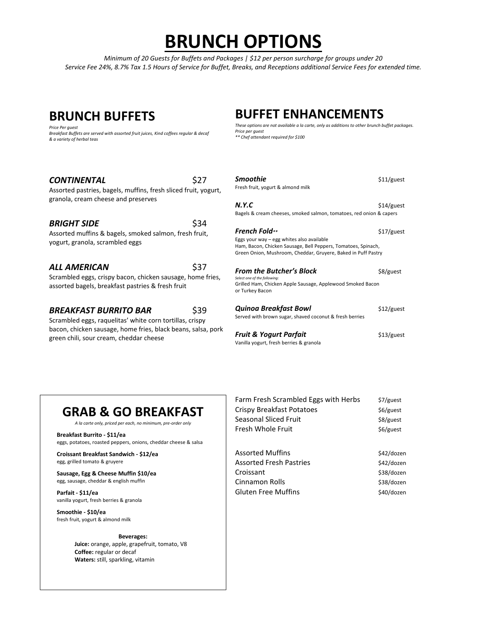# **BRUNCH OPTIONS**

*Minimum of 20 Guests for Buffets and Packages | \$12 per person surcharge for groups under 20 Service Fee 24%, 8.7% Tax 1.5 Hours of Service for Buffet, Breaks, and Receptions additional Service Fees for extended time.*

## **BRUNCH BUFFETS**

*Price Per guest Breakfast Buffets are served with assorted fruit juices, Kind coffees regular & decaf & a variety of herbal teas*

### **CONTINENTAL** \$27

Assorted pastries, bagels, muffins, fresh sliced fruit, yogurt, granola, cream cheese and preserves

### **BRIGHT SIDE** \$34

Assorted muffins & bagels, smoked salmon, fresh fruit, yogurt, granola, scrambled eggs

#### *ALL AMERICAN* \$37

Scrambled eggs, crispy bacon, chicken sausage, home fries, assorted bagels, breakfast pastries & fresh fruit

### **BREAKFAST BURRITO BAR** \$39

Scrambled eggs, raquelitas' white corn tortillas, crispy bacon, chicken sausage, home fries, black beans, salsa, pork green chili, sour cream, cheddar cheese

## **BUFFET ENHANCEMENTS**

*These options are not available a la carte, only as additions to other brunch buffet packages. Price per guest \*\* Chef attendant required for \$100*

#### **Smoothie** \$11/guest

Fresh fruit, yogurt & almond milk

#### *N.Y.C* \$14/guest Bagels & cream cheeses, smoked salmon, tomatoes, red onion & capers

**French Fold**\*\* \$17/guest

#### Eggs your way – egg whites also available Ham, Bacon, Chicken Sausage, Bell Peppers, Tomatoes, Spinach, Green Onion, Mushroom, Cheddar, Gruyere, Baked in Puff Pastry

### **From the Butcher's Block** \$8/guest

Select one of the follow Grilled Ham, Chicken Apple Sausage, Applewood Smoked Bacon or Turkey Bacon

| Quinoa Breakfast Bowl                                   | $$12/g$ uest |
|---------------------------------------------------------|--------------|
| Served with brown sugar, shaved coconut & fresh berries |              |

**Fruit & Yogurt Parfait** \$13/guest Vanilla yogurt, fresh berries & granola

## **GRAB & GO BREAKFAST**

*A la carte only, priced per each, no minimum, pre-order only*

**Breakfast Burrito - \$11/ea** eggs, potatoes, roasted peppers, onions, cheddar cheese & salsa

**Croissant Breakfast Sandwich - \$12/ea** egg, grilled tomato & gruyere

**Sausage, Egg & Cheese Muffin \$10/ea** egg, sausage, cheddar & english muffin

**Parfait - \$11/ea** vanilla yogurt, fresh berries & granola

**Smoothie - \$10/ea** fresh fruit, yogurt & almond milk

#### **Beverages:**

**Juice:** orange, apple, grapefruit, tomato, V8 **Coffee:** regular or decaf **Waters:** still, sparkling, vitamin

| Crispy Breakfast Potatoes      | $$6/g$ uest |
|--------------------------------|-------------|
| Seasonal Sliced Fruit          | \$8/guest   |
| Fresh Whole Fruit              | $$6/g$ uest |
| <b>Assorted Muffins</b>        | \$42/dozen  |
| <b>Assorted Fresh Pastries</b> | \$42/dozen  |
| Croissant                      | 228/dn      |

Farm Fresh Scrambled Eggs with Herbs \$7/guest

Croissant \$38/dozen Cinnamon Rolls **\$38/dozen** Gluten Free Muffins **\$40/dozen**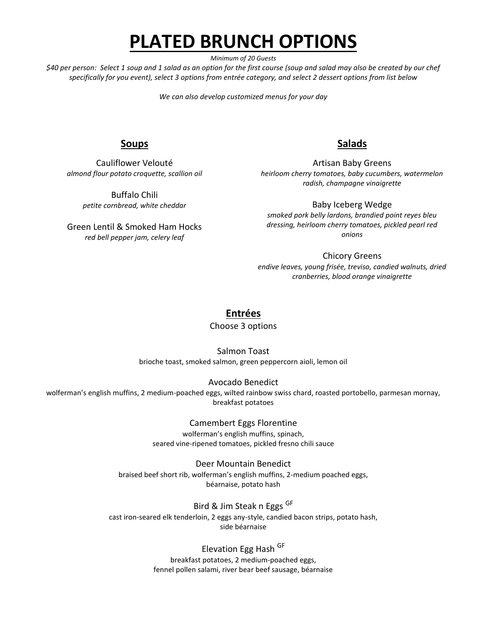# **PLATED BRUNCH OPTIONS**

*Minimum of 20 Guests*

*\$40 per person: Select 1 soup and 1 salad as an option for the first course (soup and salad may also be created by our chef specifically for you event), select 3 options from entrée category, and select 2 dessert options from list below*

*We can also develop customized menus for your day*

## **Soups**

Cauliflower Velouté *almond flour potato croquette, scallion oil*

> Buffalo Chili *petite cornbread, white cheddar*

Green Lentil & Smoked Ham Hocks *red bell pepper jam, celery leaf*

## **Salads**

Artisan Baby Greens *heirloom cherry tomatoes, baby cucumbers, watermelon radish, champagne vinaigrette*

Baby Iceberg Wedge *smoked pork belly lardons, brandied point reyes bleu dressing, heirloom cherry tomatoes, pickled pearl red onions*

Chicory Greens *endive leaves, young frisée, treviso, candied walnuts, dried cranberries, blood orange vinaigrette*

## **Entrées**

Choose 3 options

Salmon Toast brioche toast, smoked salmon, green peppercorn aioli, lemon oil

Avocado Benedict

wolferman's english muffins, 2 medium-poached eggs, wilted rainbow swiss chard, roasted portobello, parmesan mornay, breakfast potatoes

> Camembert Eggs Florentine wolferman's english muffins, spinach, seared vine-ripened tomatoes, pickled fresno chili sauce

Deer Mountain Benedict braised beef short rib, wolferman's english muffins, 2-medium poached eggs, béarnaise, potato hash

Bird & Jim Steak n Eggs GF cast iron-seared elk tenderloin, 2 eggs any-style, candied bacon strips, potato hash, side béarnaise

> Elevation Egg Hash GF breakfast potatoes, 2 medium-poached eggs,

fennel pollen salami, river bear beef sausage, béarnaise